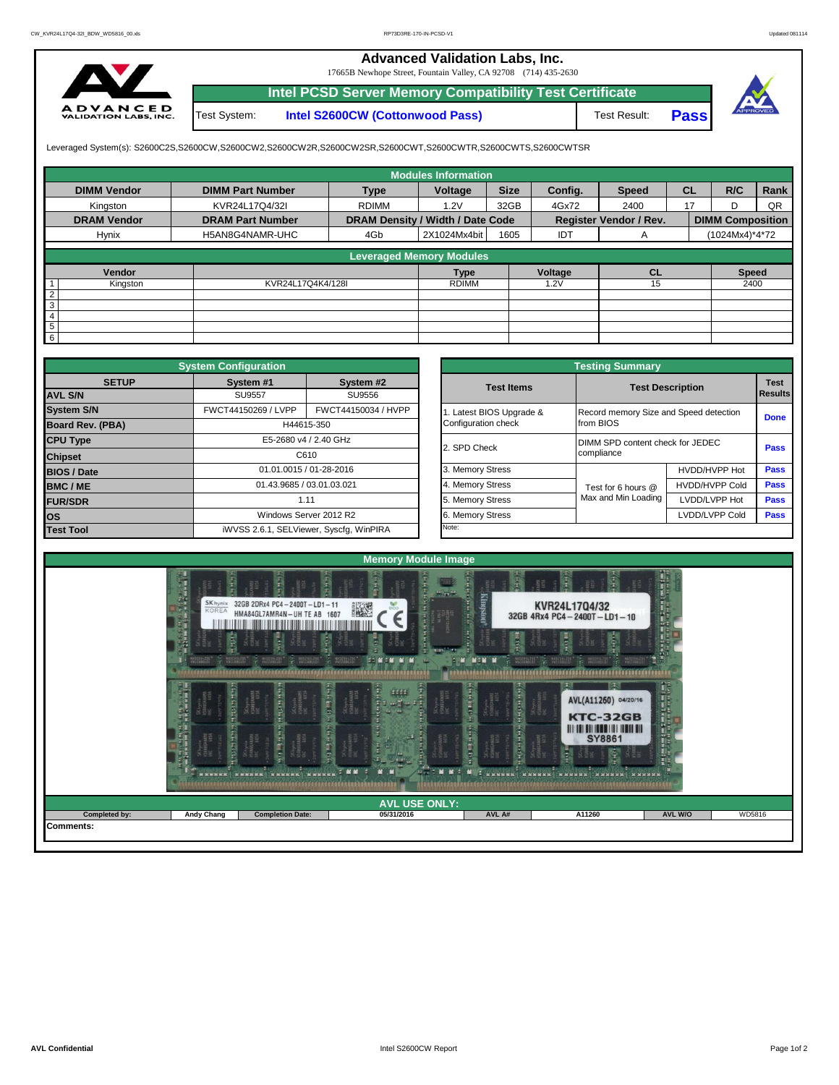## **Advanced Validation Labs, Inc.**

17665B Newhope Street, Fountain Valley, CA 92708 (714) 435-2630



**Intel PCSD Server Memory Compatibility Test Certificate** Test System: **Intel S2600CW (Cottonwood Pass)**

Test Result: **Pass**



Leveraged System(s): S2600C2S,S2600CW,S2600CW2,S2600CW2R,S2600CW2SR,S2600CWT,S2600CWTR,S2600CWTS,S2600CWTSR

|                    |                         |                                  | <b>Modules Information</b>      |             |         |                               |           |                         |      |
|--------------------|-------------------------|----------------------------------|---------------------------------|-------------|---------|-------------------------------|-----------|-------------------------|------|
| <b>DIMM Vendor</b> | <b>DIMM Part Number</b> | <b>Type</b>                      | Voltage                         | <b>Size</b> | Config. | <b>Speed</b>                  | <b>CL</b> | R/C                     | Rank |
| Kingston           | KVR24L17Q4/32I          | <b>RDIMM</b>                     | 1.2V                            | 32GB        | 4Gx72   | 2400                          | 17        | ח                       | QR   |
| <b>DRAM Vendor</b> | <b>DRAM Part Number</b> | DRAM Density / Width / Date Code |                                 |             |         | <b>Register Vendor / Rev.</b> |           | <b>DIMM Composition</b> |      |
| Hynix              | H5AN8G4NAMR-UHC         | 4Gb                              | 2X1024Mx4bit                    | 1605        | IDT     | A                             |           | (1024Mx4)*4*72          |      |
|                    |                         |                                  | <b>Leveraged Memory Modules</b> |             |         |                               |           |                         |      |
|                    |                         |                                  |                                 |             |         |                               |           |                         |      |
| Vendor             |                         |                                  | <b>Type</b>                     |             | Voltage | <b>CL</b>                     |           | <b>Speed</b>            |      |
| Kingston           | KVR24L17Q4K4/128I       |                                  | <b>RDIMM</b>                    |             | 1.2V    | 15                            |           | 2400                    |      |
| $\overline{2}$     |                         |                                  |                                 |             |         |                               |           |                         |      |
| 3                  |                         |                                  |                                 |             |         |                               |           |                         |      |
| 4                  |                         |                                  |                                 |             |         |                               |           |                         |      |
| 5                  |                         |                                  |                                 |             |         |                               |           |                         |      |
| 6                  |                         |                                  |                                 |             |         |                               |           |                         |      |

|                    | <b>System Configuration</b> |                                         |                       | <b>Testing Summary</b>                 |                         |             |  |  |
|--------------------|-----------------------------|-----------------------------------------|-----------------------|----------------------------------------|-------------------------|-------------|--|--|
| <b>SETUP</b>       | System #1                   | System #2                               | <b>Test Items</b>     |                                        | <b>Test Description</b> |             |  |  |
| <b>AVL S/N</b>     | <b>SU9557</b><br>SU9556     |                                         |                       |                                        | Results                 |             |  |  |
| <b>System S/N</b>  | FWCT44150269 / LVPP         | FWCT44150034 / HVPP                     | Latest BIOS Upgrade & | Record memory Size and Speed detection |                         | <b>Done</b> |  |  |
| Board Rev. (PBA)   |                             | H44615-350                              | Configuration check   | from BIOS                              |                         |             |  |  |
| <b>CPU Type</b>    |                             | E5-2680 v4 / 2.40 GHz                   | 2. SPD Check          | DIMM SPD content check for JEDEC       |                         | Pass        |  |  |
| <b>Chipset</b>     |                             | C610                                    |                       | compliance                             |                         |             |  |  |
| <b>BIOS / Date</b> |                             | 01.01.0015 / 01-28-2016                 | 3. Memory Stress      |                                        | HVDD/HVPP Hot           | <b>Pass</b> |  |  |
| <b>BMC/ME</b>      |                             | 01.43.9685 / 03.01.03.021               | 4. Memory Stress      | Test for 6 hours @                     | <b>HVDD/HVPP Cold</b>   | <b>Pass</b> |  |  |
| <b>FUR/SDR</b>     |                             | 1.11                                    | 5. Memory Stress      | Max and Min Loading                    | LVDD/LVPP Hot           | Pass        |  |  |
| <b>los</b>         |                             | Windows Server 2012 R2                  | 6. Memory Stress      |                                        | LVDD/LVPP Cold          | Pass        |  |  |
| <b>Test Tool</b>   |                             | iWVSS 2.6.1, SELViewer, Syscfq, WinPIRA | Note:                 |                                        |                         |             |  |  |

|              | <b>System Configuration</b> |                                         | <b>Testing Summary</b> |                                        |                       |                               |  |  |  |  |  |  |
|--------------|-----------------------------|-----------------------------------------|------------------------|----------------------------------------|-----------------------|-------------------------------|--|--|--|--|--|--|
| <b>SETUP</b> | System #1                   | System #2                               | <b>Test Items</b>      | <b>Test Description</b>                |                       | <b>Test</b><br><b>Results</b> |  |  |  |  |  |  |
|              | SU9556<br><b>SU9557</b>     |                                         |                        |                                        |                       |                               |  |  |  |  |  |  |
|              | FWCT44150269 / LVPP         | FWCT44150034 / HVPP                     | Latest BIOS Upgrade &  | Record memory Size and Speed detection |                       |                               |  |  |  |  |  |  |
| PBA)         |                             | H44615-350                              | Configuration check    | from BIOS                              |                       | <b>Done</b>                   |  |  |  |  |  |  |
|              |                             | E5-2680 v4 / 2.40 GHz                   | 2. SPD Check           | DIMM SPD content check for JEDEC       |                       | <b>Pass</b>                   |  |  |  |  |  |  |
|              |                             | C610                                    |                        | compliance                             |                       |                               |  |  |  |  |  |  |
|              |                             | 01.01.0015 / 01-28-2016                 | 3. Memory Stress       |                                        | HVDD/HVPP Hot         | Pass                          |  |  |  |  |  |  |
|              | 01.43.9685 / 03.01.03.021   |                                         | 4. Memory Stress       | Test for 6 hours @                     | <b>HVDD/HVPP Cold</b> | Pass                          |  |  |  |  |  |  |
|              |                             | 1.11                                    | 5. Memory Stress       | Max and Min Loading                    | LVDD/LVPP Hot         | Pass                          |  |  |  |  |  |  |
|              |                             | Windows Server 2012 R2                  | 6. Memory Stress       |                                        | LVDD/LVPP Cold        | Pass                          |  |  |  |  |  |  |
|              |                             | iWVSS 2.6.1, SELViewer, Syscfq, WinPIRA | Note:                  |                                        |                       |                               |  |  |  |  |  |  |